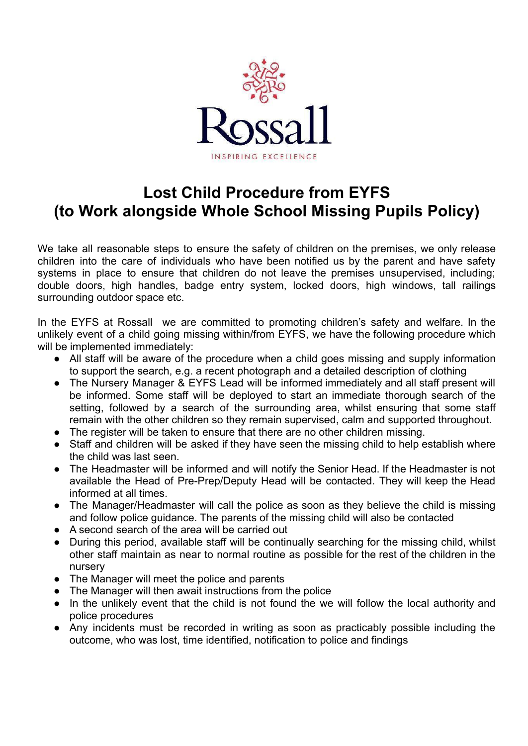

## **Lost Child Procedure from EYFS (to Work alongside Whole School Missing Pupils Policy)**

We take all reasonable steps to ensure the safety of children on the premises, we only release children into the care of individuals who have been notified us by the parent and have safety systems in place to ensure that children do not leave the premises unsupervised, including; double doors, high handles, badge entry system, locked doors, high windows, tall railings surrounding outdoor space etc.

In the EYFS at Rossall we are committed to promoting children's safety and welfare. In the unlikely event of a child going missing within/from EYFS, we have the following procedure which will be implemented immediately:

- All staff will be aware of the procedure when a child goes missing and supply information to support the search, e.g. a recent photograph and a detailed description of clothing
- The Nursery Manager & EYFS Lead will be informed immediately and all staff present will be informed. Some staff will be deployed to start an immediate thorough search of the setting, followed by a search of the surrounding area, whilst ensuring that some staff remain with the other children so they remain supervised, calm and supported throughout.
- The register will be taken to ensure that there are no other children missing.
- Staff and children will be asked if they have seen the missing child to help establish where the child was last seen.
- The Headmaster will be informed and will notify the Senior Head. If the Headmaster is not available the Head of Pre-Prep/Deputy Head will be contacted. They will keep the Head informed at all times.
- The Manager/Headmaster will call the police as soon as they believe the child is missing and follow police guidance. The parents of the missing child will also be contacted
- A second search of the area will be carried out
- During this period, available staff will be continually searching for the missing child, whilst other staff maintain as near to normal routine as possible for the rest of the children in the nursery
- The Manager will meet the police and parents
- The Manager will then await instructions from the police
- In the unlikely event that the child is not found the we will follow the local authority and police procedures
- Any incidents must be recorded in writing as soon as practicably possible including the outcome, who was lost, time identified, notification to police and findings